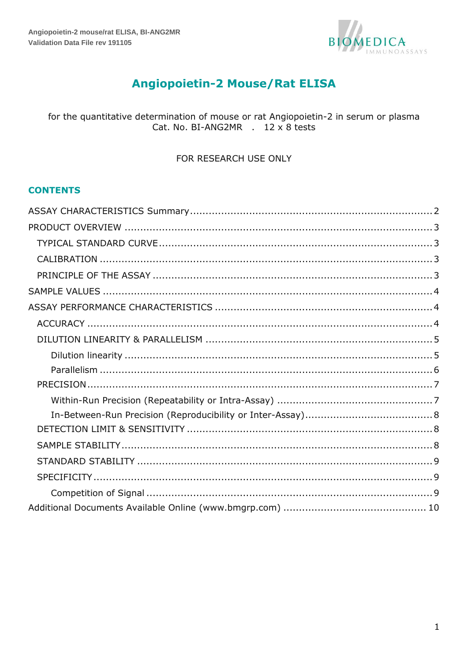

# **Angiopoietin-2 Mouse/Rat ELISA**

## for the quantitative determination of mouse or rat Angiopoietin-2 in serum or plasma Cat. No. BI-ANG2MR . 12 x 8 tests

#### FOR RESEARCH USE ONLY

## **CONTENTS**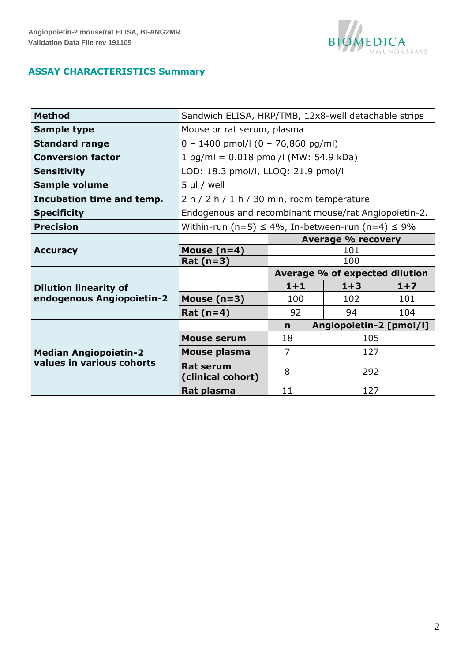

# <span id="page-1-0"></span>**ASSAY CHARACTERISTICS Summary**

| <b>Method</b>                | Sandwich ELISA, HRP/TMB, 12x8-well detachable strips       |                            |  |                                |       |  |  |
|------------------------------|------------------------------------------------------------|----------------------------|--|--------------------------------|-------|--|--|
| <b>Sample type</b>           |                                                            | Mouse or rat serum, plasma |  |                                |       |  |  |
| <b>Standard range</b>        | $0 - 1400$ pmol/l (0 - 76,860 pg/ml)                       |                            |  |                                |       |  |  |
| <b>Conversion factor</b>     | $1$ pg/ml = 0.018 pmol/l (MW: 54.9 kDa)                    |                            |  |                                |       |  |  |
| <b>Sensitivity</b>           | LOD: 18.3 pmol/l, LLOQ: 21.9 pmol/l                        |                            |  |                                |       |  |  |
| <b>Sample volume</b>         | $5 \mu$ / well                                             |                            |  |                                |       |  |  |
| Incubation time and temp.    | $2 h / 2 h / 1 h / 30$ min, room temperature               |                            |  |                                |       |  |  |
| <b>Specificity</b>           | Endogenous and recombinant mouse/rat Angiopoietin-2.       |                            |  |                                |       |  |  |
| <b>Precision</b>             | Within-run (n=5) $\leq$ 4%, In-between-run (n=4) $\leq$ 9% |                            |  |                                |       |  |  |
|                              | <b>Average % recovery</b>                                  |                            |  |                                |       |  |  |
| <b>Accuracy</b>              | Mouse $(n=4)$<br>101                                       |                            |  |                                |       |  |  |
|                              | $Rat(n=3)$                                                 | 100                        |  |                                |       |  |  |
|                              |                                                            |                            |  | Average % of expected dilution |       |  |  |
| <b>Dilution linearity of</b> |                                                            | $1 + 1$                    |  | $1 + 3$                        | $1+7$ |  |  |
| endogenous Angiopoietin-2    | Mouse $(n=3)$                                              | 100                        |  | 102                            | 101   |  |  |
|                              | Rat $(n=4)$                                                | 92                         |  | 94                             | 104   |  |  |
|                              |                                                            | $\mathbf n$                |  | Angiopoietin-2 [pmol/l]        |       |  |  |
|                              | <b>Mouse serum</b>                                         | 18                         |  | 105                            |       |  |  |
| <b>Median Angiopoietin-2</b> | Mouse plasma                                               | $\overline{7}$             |  | 127                            |       |  |  |
| values in various cohorts    | <b>Rat serum</b><br>(clinical cohort)                      | 8                          |  | 292                            |       |  |  |
|                              | Rat plasma                                                 | 11                         |  | 127                            |       |  |  |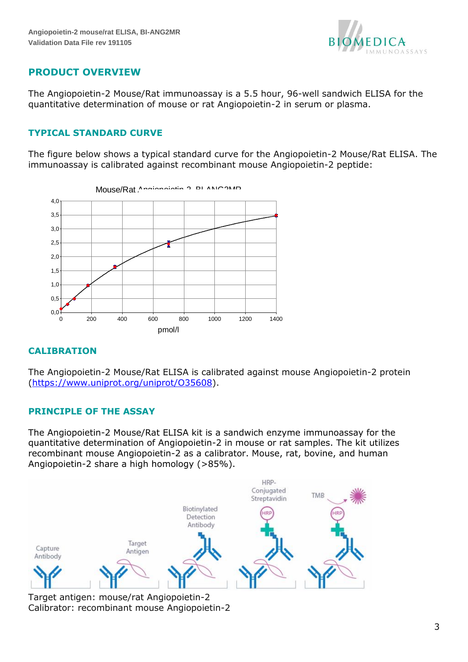

# <span id="page-2-0"></span>**PRODUCT OVERVIEW**

The Angiopoietin-2 Mouse/Rat immunoassay is a 5.5 hour, 96-well sandwich ELISA for the quantitative determination of mouse or rat Angiopoietin-2 in serum or plasma.

## <span id="page-2-1"></span>**TYPICAL STANDARD CURVE**

The figure below shows a typical standard curve for the Angiopoietin-2 Mouse/Rat ELISA. The immunoassay is calibrated against recombinant mouse Angiopoietin-2 peptide:



## <span id="page-2-2"></span>**CALIBRATION**

The Angiopoietin-2 Mouse/Rat ELISA is calibrated against mouse Angiopoietin-2 protein (https://www.uniprot.org/uniprot/O35608).

## <span id="page-2-3"></span>**PRINCIPLE OF THE ASSAY**

The Angiopoietin-2 Mouse/Rat ELISA kit is a sandwich enzyme immunoassay for the quantitative determination of Angiopoietin-2 in mouse or rat samples. The kit utilizes recombinant mouse Angiopoietin-2 as a calibrator. Mouse, rat, bovine, and human Angiopoietin-2 share a high homology (>85%).



Target antigen: mouse/rat Angiopoietin-2 Calibrator: recombinant mouse Angiopoietin-2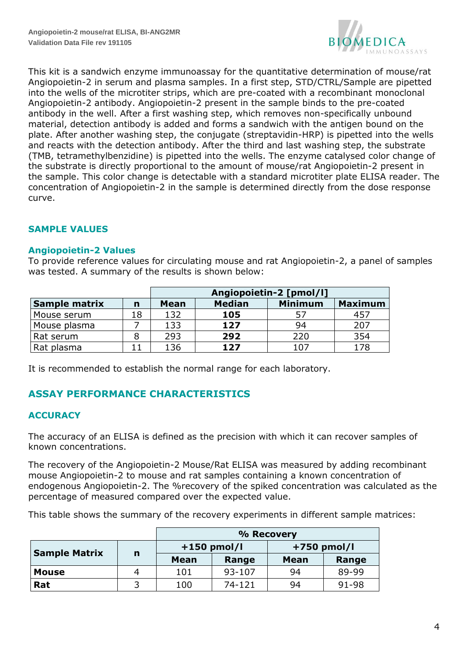

This kit is a sandwich enzyme immunoassay for the quantitative determination of mouse/rat Angiopoietin-2 in serum and plasma samples. In a first step, STD/CTRL/Sample are pipetted into the wells of the microtiter strips, which are pre-coated with a recombinant monoclonal Angiopoietin-2 antibody. Angiopoietin-2 present in the sample binds to the pre-coated antibody in the well. After a first washing step, which removes non-specifically unbound material, detection antibody is added and forms a sandwich with the antigen bound on the plate. After another washing step, the conjugate (streptavidin-HRP) is pipetted into the wells and reacts with the detection antibody. After the third and last washing step, the substrate (TMB, tetramethylbenzidine) is pipetted into the wells. The enzyme catalysed color change of the substrate is directly proportional to the amount of mouse/rat Angiopoietin-2 present in the sample. This color change is detectable with a standard microtiter plate ELISA reader. The concentration of Angiopoietin-2 in the sample is determined directly from the dose response curve.

## <span id="page-3-0"></span>**SAMPLE VALUES**

#### **Angiopoietin-2 Values**

To provide reference values for circulating mouse and rat Angiopoietin-2, a panel of samples was tested. A summary of the results is shown below:

|               |    | Angiopoietin-2 [pmol/l] |               |                |                |  |  |
|---------------|----|-------------------------|---------------|----------------|----------------|--|--|
| Sample matrix | n  | <b>Mean</b>             | <b>Median</b> | <b>Minimum</b> | <b>Maximum</b> |  |  |
| Mouse serum   | 18 | 132                     | 105           | 57             | 457            |  |  |
| Mouse plasma  |    | 133                     | 127           | 94             | 207            |  |  |
| Rat serum     |    | 293                     | 292           | 220            | 354            |  |  |
| Rat plasma    |    | 136                     | 127           | 107            | 178            |  |  |

<span id="page-3-1"></span>It is recommended to establish the normal range for each laboratory.

# **ASSAY PERFORMANCE CHARACTERISTICS**

## <span id="page-3-2"></span>**ACCURACY**

The accuracy of an ELISA is defined as the precision with which it can recover samples of known concentrations.

The recovery of the Angiopoietin-2 Mouse/Rat ELISA was measured by adding recombinant mouse Angiopoietin-2 to mouse and rat samples containing a known concentration of endogenous Angiopoietin-2. The %recovery of the spiked concentration was calculated as the percentage of measured compared over the expected value.

This table shows the summary of the recovery experiments in different sample matrices:

|                      |   | % Recovery    |        |               |       |  |
|----------------------|---|---------------|--------|---------------|-------|--|
| <b>Sample Matrix</b> |   | $+150$ pmol/l |        | $+750$ pmol/l |       |  |
|                      | n | <b>Mean</b>   | Range  | <b>Mean</b>   | Range |  |
| <b>Mouse</b>         | 4 | 101           | 93-107 | 94            | 89-99 |  |
| Rat                  |   | 100           | 74-121 | 94            | 91-98 |  |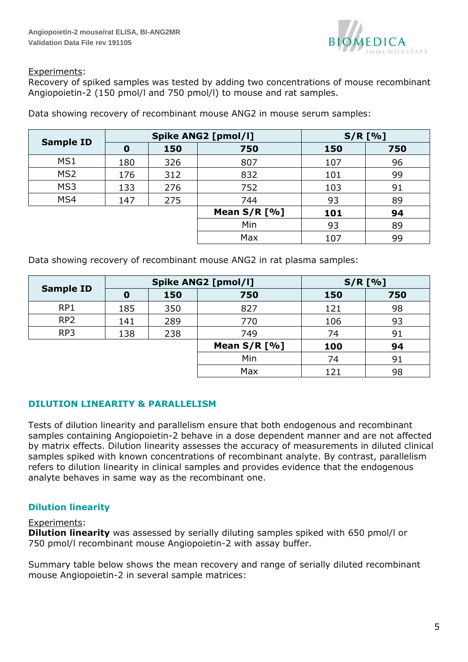

#### Experiments:

Recovery of spiked samples was tested by adding two concentrations of mouse recombinant Angiopoietin-2 (150 pmol/l and 750 pmol/l) to mouse and rat samples.

|                  |                  |     | <b>Spike ANG2 [pmol/l]</b> | $S/R$ [%] |     |  |
|------------------|------------------|-----|----------------------------|-----------|-----|--|
| <b>Sample ID</b> | $\boldsymbol{0}$ | 150 | 750                        | 150       | 750 |  |
| MS1              | 180              | 326 | 807                        | 107       | 96  |  |
| MS <sub>2</sub>  | 176              | 312 | 832                        | 101       | 99  |  |
| MS3              | 133              | 276 | 752                        | 103       | 91  |  |
| MS4              | 147              | 275 | 744                        | 93        | 89  |  |
|                  |                  |     | Mean $S/R$ [%]             | 101       | 94  |  |
|                  |                  |     | Min                        | 93        | 89  |  |
|                  |                  |     | Max                        | 107       | 99  |  |

Data showing recovery of recombinant mouse ANG2 in mouse serum samples:

Data showing recovery of recombinant mouse ANG2 in rat plasma samples:

|                  |     |     | <b>Spike ANG2 [pmol/l]</b> | $S/R$ [%] |     |  |
|------------------|-----|-----|----------------------------|-----------|-----|--|
| <b>Sample ID</b> | O   | 150 | 750                        | 150       | 750 |  |
| RP1              | 185 | 350 | 827                        | 121       | 98  |  |
| RP <sub>2</sub>  | 141 | 289 | 770                        | 106       | 93  |  |
| RP3              | 138 | 238 | 749                        | 74        | 91  |  |
|                  |     |     | Mean $S/R$ [%]             | 100       | 94  |  |
|                  |     |     | Min                        | 74        | 91  |  |
|                  |     |     | Max                        | 121       | 98  |  |

## <span id="page-4-0"></span>**DILUTION LINEARITY & PARALLELISM**

Tests of dilution linearity and parallelism ensure that both endogenous and recombinant samples containing Angiopoietin-2 behave in a dose dependent manner and are not affected by matrix effects. Dilution linearity assesses the accuracy of measurements in diluted clinical samples spiked with known concentrations of recombinant analyte. By contrast, parallelism refers to dilution linearity in clinical samples and provides evidence that the endogenous analyte behaves in same way as the recombinant one.

## <span id="page-4-1"></span>**Dilution linearity**

#### Experiments:

**Dilution linearity** was assessed by serially diluting samples spiked with 650 pmol/l or 750 pmol/l recombinant mouse Angiopoietin-2 with assay buffer.

Summary table below shows the mean recovery and range of serially diluted recombinant mouse Angiopoietin-2 in several sample matrices: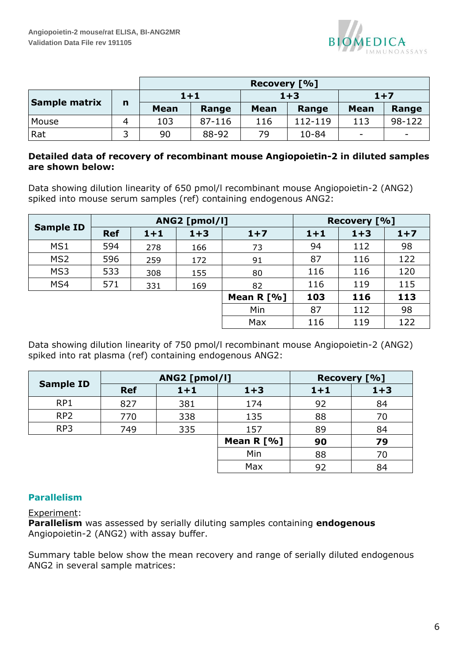

|               |   |             |        | Recovery [%] |           |             |                          |
|---------------|---|-------------|--------|--------------|-----------|-------------|--------------------------|
|               |   | $1 + 1$     |        |              | $1 + 3$   |             | $1+7$                    |
| Sample matrix | n | <b>Mean</b> | Range  | <b>Mean</b>  | Range     | <b>Mean</b> | Range                    |
| Mouse         |   | 103         | 87-116 | 116          | 112-119   | 113         | 98-122                   |
| Rat           |   | 90          | 88-92  | 79           | $10 - 84$ | -           | $\overline{\phantom{0}}$ |

#### **Detailed data of recovery of recombinant mouse Angiopoietin-2 in diluted samples are shown below:**

Data showing dilution linearity of 650 pmol/l recombinant mouse Angiopoietin-2 (ANG2) spiked into mouse serum samples (ref) containing endogenous ANG2:

| <b>Sample ID</b> |            |         | ANG2 [pmol/l] | Recovery [%] |         |         |       |
|------------------|------------|---------|---------------|--------------|---------|---------|-------|
|                  | <b>Ref</b> | $1 + 1$ | $1 + 3$       | $1+7$        | $1 + 1$ | $1 + 3$ | $1+7$ |
| MS1              | 594        | 278     | 166           | 73           | 94      | 112     | 98    |
| MS <sub>2</sub>  | 596        | 259     | 172           | 91           | 87      | 116     | 122   |
| MS3              | 533        | 308     | 155           | 80           | 116     | 116     | 120   |
| MS4              | 571        | 331     | 169           | 82           | 116     | 119     | 115   |
|                  |            |         |               | Mean R $[%]$ | 103     | 116     | 113   |
|                  |            |         |               | Min          | 87      | 112     | 98    |
|                  |            |         |               | Max          | 116     | 119     | 122   |

Data showing dilution linearity of 750 pmol/l recombinant mouse Angiopoietin-2 (ANG2) spiked into rat plasma (ref) containing endogenous ANG2:

| <b>Sample ID</b> |            | ANG2 [pmol/l] | Recovery [%] |         |         |
|------------------|------------|---------------|--------------|---------|---------|
|                  | <b>Ref</b> | $1 + 1$       | $1 + 3$      | $1 + 1$ | $1 + 3$ |
| RP1              | 827        | 381           | 174          | 92      | 84      |
| RP <sub>2</sub>  | 770        | 338           | 135          | 88      | 70      |
| RP3              | 749        | 335           | 157          | 89      | 84      |
|                  |            |               | Mean R [%]   | 90      | 79      |
|                  |            |               | Min          | 88      | 70      |
|                  |            |               | Max          | 92      | 84      |

## <span id="page-5-0"></span>**Parallelism**

Experiment:

**Parallelism** was assessed by serially diluting samples containing **endogenous** Angiopoietin-2 (ANG2) with assay buffer.

Summary table below show the mean recovery and range of serially diluted endogenous ANG2 in several sample matrices: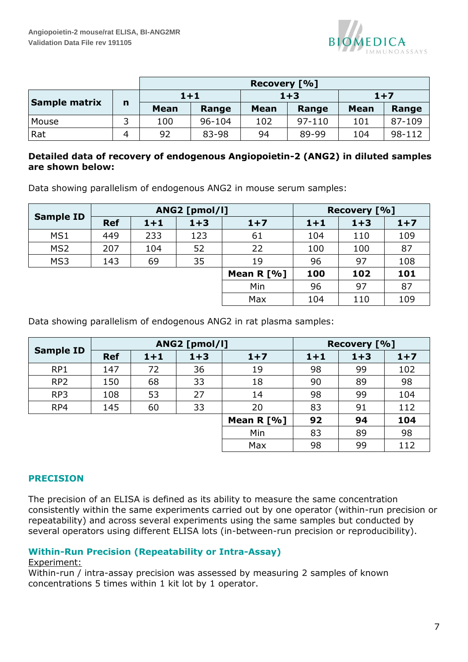

|                      |   | Recovery [%] |            |             |            |             |        |  |
|----------------------|---|--------------|------------|-------------|------------|-------------|--------|--|
|                      |   | $1 + 1$      |            |             | $1 + 3$    |             | $1+7$  |  |
| <b>Sample matrix</b> | n | <b>Mean</b>  | Range      | <b>Mean</b> | Range      | <b>Mean</b> | Range  |  |
| Mouse                | 3 | 100          | $96 - 104$ | 102         | $97 - 110$ | 101         | 87-109 |  |
| Rat                  | 4 | 92           | 83-98      | 94          | 89-99      | 104         | 98-112 |  |

## **Detailed data of recovery of endogenous Angiopoietin-2 (ANG2) in diluted samples are shown below:**

Data showing parallelism of endogenous ANG2 in mouse serum samples:

| <b>Sample ID</b> |            |         | ANG2 [pmol/l] | Recovery [%] |       |         |       |
|------------------|------------|---------|---------------|--------------|-------|---------|-------|
|                  | <b>Ref</b> | $1 + 1$ | $1 + 3$       | $1+7$        | $1+1$ | $1 + 3$ | $1+7$ |
| MS1              | 449        | 233     | 123           | 61           | 104   | 110     | 109   |
| MS <sub>2</sub>  | 207        | 104     | 52            | 22           | 100   | 100     | 87    |
| MS3              | 143        | 69      | 35            | 19           | 96    | 97      | 108   |
|                  |            |         |               | Mean $R$ [%] | 100   | 102     | 101   |
|                  |            |         |               | Min          | 96    | 97      | 87    |
|                  |            |         |               | Max          | 104   | 110     | 109   |

Data showing parallelism of endogenous ANG2 in rat plasma samples:

| <b>Sample ID</b> |            |         | ANG2 [pmol/l] | Recovery [%] |         |         |       |
|------------------|------------|---------|---------------|--------------|---------|---------|-------|
|                  | <b>Ref</b> | $1 + 1$ | $1 + 3$       | $1+7$        | $1 + 1$ | $1 + 3$ | $1+7$ |
| RP1              | 147        | 72      | 36            | 19           | 98      | 99      | 102   |
| RP <sub>2</sub>  | 150        | 68      | 33            | 18           | 90      | 89      | 98    |
| RP3              | 108        | 53      | 27            | 14           | 98      | 99      | 104   |
| RP4              | 145        | 60      | 33            | 20           | 83      | 91      | 112   |
|                  |            |         |               | Mean $R$ [%] | 92      | 94      | 104   |
|                  |            |         |               | Min          | 83      | 89      | 98    |
|                  |            |         |               | Max          | 98      | 99      | 112   |

## <span id="page-6-0"></span>**PRECISION**

The precision of an ELISA is defined as its ability to measure the same concentration consistently within the same experiments carried out by one operator (within-run precision or repeatability) and across several experiments using the same samples but conducted by several operators using different ELISA lots (in-between-run precision or reproducibility).

## <span id="page-6-1"></span>**Within-Run Precision (Repeatability or Intra-Assay)**

#### Experiment:

Within-run / intra-assay precision was assessed by measuring 2 samples of known concentrations 5 times within 1 kit lot by 1 operator.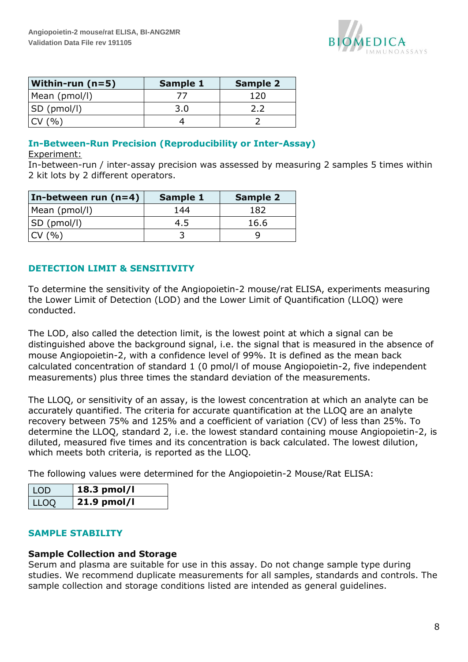

| <b>Within-run (n=5)</b> | <b>Sample 1</b> | <b>Sample 2</b> |
|-------------------------|-----------------|-----------------|
| Mean (pmol/l)           |                 | 120             |
| SD (pmol/l)             | 3.0             |                 |
| CV(% )                  |                 |                 |

# <span id="page-7-0"></span>**In-Between-Run Precision (Reproducibility or Inter-Assay)**

#### Experiment:

In-between-run / inter-assay precision was assessed by measuring 2 samples 5 times within 2 kit lots by 2 different operators.

| In-between run (n=4) | Sample 1 | <b>Sample 2</b> |  |
|----------------------|----------|-----------------|--|
| Mean (pmol/l)        | 144      | 182             |  |
| SD (pmol/l)          | 4.5      | 16.6            |  |
| CV(% )               |          |                 |  |

## <span id="page-7-1"></span>**DETECTION LIMIT & SENSITIVITY**

To determine the sensitivity of the Angiopoietin-2 mouse/rat ELISA, experiments measuring the Lower Limit of Detection (LOD) and the Lower Limit of Quantification (LLOQ) were conducted.

The LOD, also called the detection limit, is the lowest point at which a signal can be distinguished above the background signal, i.e. the signal that is measured in the absence of mouse Angiopoietin-2, with a confidence level of 99%. It is defined as the mean back calculated concentration of standard 1 (0 pmol/l of mouse Angiopoietin-2, five independent measurements) plus three times the standard deviation of the measurements.

The LLOQ, or sensitivity of an assay, is the lowest concentration at which an analyte can be accurately quantified. The criteria for accurate quantification at the LLOQ are an analyte recovery between 75% and 125% and a coefficient of variation (CV) of less than 25%. To determine the LLOQ, standard 2, i.e. the lowest standard containing mouse Angiopoietin-2, is diluted, measured five times and its concentration is back calculated. The lowest dilution, which meets both criteria, is reported as the LLOQ.

The following values were determined for the Angiopoietin-2 Mouse/Rat ELISA:

| LOD  | 18.3 pmol/l |
|------|-------------|
| LLOQ | 21.9 pmol/l |

#### <span id="page-7-2"></span>**SAMPLE STABILITY**

#### **Sample Collection and Storage**

Serum and plasma are suitable for use in this assay. Do not change sample type during studies. We recommend duplicate measurements for all samples, standards and controls. The sample collection and storage conditions listed are intended as general guidelines.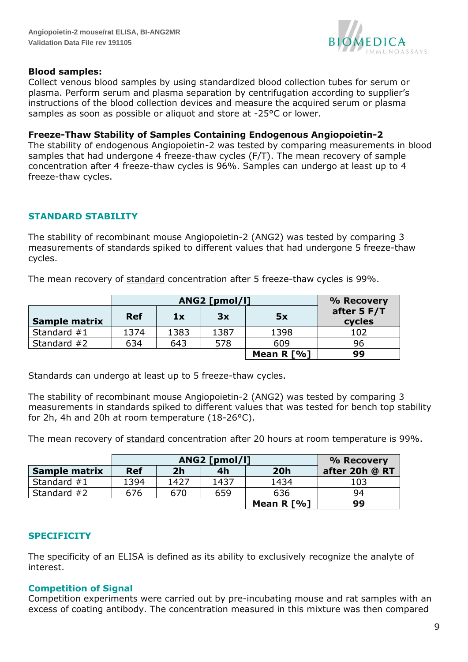

#### **Blood samples:**

Collect venous blood samples by using standardized blood collection tubes for serum or plasma. Perform serum and plasma separation by centrifugation according to supplier's instructions of the blood collection devices and measure the acquired serum or plasma samples as soon as possible or aliquot and store at -25°C or lower.

#### **Freeze-Thaw Stability of Samples Containing Endogenous Angiopoietin-2**

The stability of endogenous Angiopoietin-2 was tested by comparing measurements in blood samples that had undergone 4 freeze-thaw cycles (F/T). The mean recovery of sample concentration after 4 freeze-thaw cycles is 96%. Samples can undergo at least up to 4 freeze-thaw cycles.

## <span id="page-8-0"></span>**STANDARD STABILITY**

The stability of recombinant mouse Angiopoietin-2 (ANG2) was tested by comparing 3 measurements of standards spiked to different values that had undergone 5 freeze-thaw cycles.

The mean recovery of standard concentration after 5 freeze-thaw cycles is 99%.

|                      | ANG2 [pmol/l] |      |      |              | % Recovery            |
|----------------------|---------------|------|------|--------------|-----------------------|
| <b>Sample matrix</b> | <b>Ref</b>    | 1x   | 3x   | 5x           | after 5 F/T<br>cycles |
| Standard #1          | 1374          | 1383 | 1387 | 1398         | 102                   |
| Standard $#2$        | 634           | 643  | 578  | 609          | 96                    |
|                      |               |      |      | Mean R $[%]$ | 99                    |

Standards can undergo at least up to 5 freeze-thaw cycles.

The stability of recombinant mouse Angiopoietin-2 (ANG2) was tested by comparing 3 measurements in standards spiked to different values that was tested for bench top stability for 2h, 4h and 20h at room temperature (18-26°C).

The mean recovery of standard concentration after 20 hours at room temperature is 99%.

|                      | ANG2 [pmol/l] |                |      |            | % Recovery     |
|----------------------|---------------|----------------|------|------------|----------------|
| <b>Sample matrix</b> | <b>Ref</b>    | 2 <sub>h</sub> | 4h   | <b>20h</b> | after 20h @ RT |
| Standard $#1$        | 1394          | 1427           | 1437 | 1434       | 103            |
| Standard $#2$        | 676           | 670            | 659  | 636        | 94             |
|                      |               |                |      | Mean R [%] | 99             |

## <span id="page-8-1"></span>**SPECIFICITY**

The specificity of an ELISA is defined as its ability to exclusively recognize the analyte of interest.

#### <span id="page-8-2"></span>**Competition of Signal**

Competition experiments were carried out by pre-incubating mouse and rat samples with an excess of coating antibody. The concentration measured in this mixture was then compared